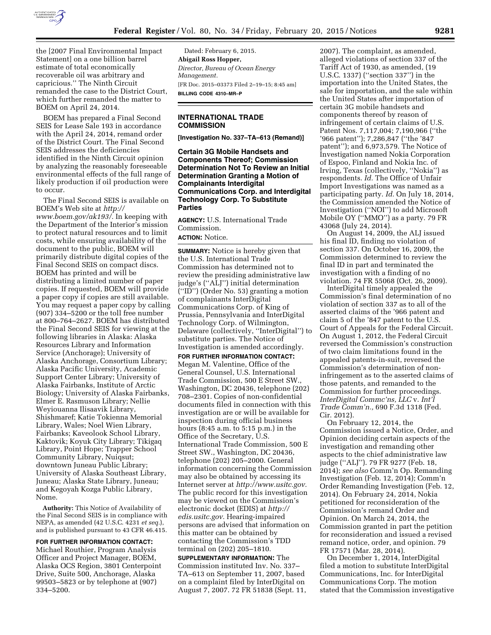

the [2007 Final Environmental Impact Statement] on a one billion barrel estimate of total economically recoverable oil was arbitrary and capricious.'' The Ninth Circuit remanded the case to the District Court, which further remanded the matter to BOEM on April 24, 2014.

BOEM has prepared a Final Second SEIS for Lease Sale 193 in accordance with the April 24, 2014, remand order of the District Court. The Final Second SEIS addresses the deficiencies identified in the Ninth Circuit opinion by analyzing the reasonably foreseeable environmental effects of the full range of likely production if oil production were to occur.

The Final Second SEIS is available on BOEM's Web site at *[http://](http://www.boem.gov/ak193/) [www.boem.gov/ak193/.](http://www.boem.gov/ak193/)* In keeping with the Department of the Interior's mission to protect natural resources and to limit costs, while ensuring availability of the document to the public, BOEM will primarily distribute digital copies of the Final Second SEIS on compact discs. BOEM has printed and will be distributing a limited number of paper copies. If requested, BOEM will provide a paper copy if copies are still available. You may request a paper copy by calling (907) 334–5200 or the toll free number at 800–764–2627. BOEM has distributed the Final Second SEIS for viewing at the following libraries in Alaska: Alaska Resources Library and Information Service (Anchorage); University of Alaska Anchorage, Consortium Library; Alaska Pacific University, Academic Support Center Library; University of Alaska Fairbanks, Institute of Arctic Biology; University of Alaska Fairbanks, Elmer E. Rasmuson Library; Nellie Weyiouanna Ilisaavik Library, Shishmaref; Katie Tokienna Memorial Library, Wales; Noel Wien Library, Fairbanks; Kaveolook School Library, Kaktovik; Koyuk City Library; Tikigaq Library, Point Hope; Trapper School Community Library, Nuiqsut; downtown Juneau Public Library; University of Alaska Southeast Library, Juneau; Alaska State Library, Juneau; and Kegoyah Kozga Public Library, Nome.

**Authority:** This Notice of Availability of the Final Second SEIS is in compliance with NEPA, as amended (42 U.S.C. 4231 *et seq.*), and is published pursuant to 43 CFR 46.415.

**FOR FURTHER INFORMATION CONTACT:**  Michael Routhier, Program Analysis Officer and Project Manager, BOEM, Alaska OCS Region, 3801 Centerpoint Drive, Suite 500, Anchorage, Alaska 99503–5823 or by telephone at (907) 334–5200.

Dated: February 6, 2015. **Abigail Ross Hopper,**  *Director, Bureau of Ocean Energy Management.*  [FR Doc. 2015–03373 Filed 2–19–15; 8:45 am] **BILLING CODE 4310–MR–P** 

## **INTERNATIONAL TRADE COMMISSION**

**[Investigation No. 337–TA–613 (Remand)]** 

**Certain 3G Mobile Handsets and Components Thereof; Commission Determination Not To Review an Initial Determination Granting a Motion of Complainants Interdigital Communications Corp. and Interdigital Technology Corp. To Substitute Parties** 

**AGENCY:** U.S. International Trade Commission. **ACTION:** Notice.

**SUMMARY:** Notice is hereby given that the U.S. International Trade Commission has determined not to review the presiding administrative law judge's (''ALJ'') initial determination (''ID'') (Order No. 53) granting a motion of complainants InterDigital Communications Corp. of King of Prussia, Pennsylvania and InterDigital Technology Corp. of Wilmington, Delaware (collectively, ''InterDigital'') to substitute parties. The Notice of Investigation is amended accordingly.

**FOR FURTHER INFORMATION CONTACT:**  Megan M. Valentine, Office of the General Counsel, U.S. International Trade Commission, 500 E Street SW., Washington, DC 20436, telephone (202) 708–2301. Copies of non-confidential documents filed in connection with this investigation are or will be available for inspection during official business hours (8:45 a.m. to 5:15 p.m.) in the Office of the Secretary, U.S. International Trade Commission, 500 E Street SW., Washington, DC 20436, telephone (202) 205–2000. General information concerning the Commission may also be obtained by accessing its Internet server at *[http://www.usitc.gov.](http://www.usitc.gov)*  The public record for this investigation may be viewed on the Commission's electronic docket (EDIS) at *[http://](http://edis.usitc.gov)*  $edis.usitc.gov.$  Hearing-impaired persons are advised that information on this matter can be obtained by contacting the Commission's TDD terminal on (202) 205–1810.

**SUPPLEMENTARY INFORMATION:** The Commission instituted Inv. No. 337– TA–613 on September 11, 2007, based on a complaint filed by InterDigital on August 7, 2007. 72 FR 51838 (Sept. 11,

2007). The complaint, as amended, alleged violations of section 337 of the Tariff Act of 1930, as amended, (19 U.S.C. 1337) (''section 337'') in the importation into the United States, the sale for importation, and the sale within the United States after importation of certain 3G mobile handsets and components thereof by reason of infringement of certain claims of U.S. Patent Nos. 7,117,004; 7,190,966 (''the '966 patent''); 7,286,847 (''the '847 patent''); and 6,973,579. The Notice of Investigation named Nokia Corporation of Espoo, Finland and Nokia Inc. of Irving, Texas (collectively, ''Nokia'') as respondents. *Id.* The Office of Unfair Import Investigations was named as a participating party. *Id.* On July 18, 2014, the Commission amended the Notice of Investigation (''NOI'') to add Microsoft Mobile OY (''MMO'') as a party. 79 FR 43068 (July 24, 2014).

On August 14, 2009, the ALJ issued his final ID, finding no violation of section 337. On October 16, 2009, the Commission determined to review the final ID in part and terminated the investigation with a finding of no violation. 74 FR 55068 (Oct. 26, 2009).

InterDigital timely appealed the Commission's final determination of no violation of section 337 as to all of the asserted claims of the '966 patent and claim 5 of the '847 patent to the U.S. Court of Appeals for the Federal Circuit. On August 1, 2012, the Federal Circuit reversed the Commission's construction of two claim limitations found in the appealed patents-in-suit, reversed the Commission's determination of noninfringement as to the asserted claims of those patents, and remanded to the Commission for further proceedings. *InterDigital Commc'ns, LLC* v. *Int'l Trade Comm'n.,* 690 F.3d 1318 (Fed. Cir. 2012).

On February 12, 2014, the Commission issued a Notice, Order, and Opinion deciding certain aspects of the investigation and remanding other aspects to the chief administrative law judge (''ALJ''). 79 FR 9277 (Feb. 18, 2014); *see also* Comm'n Op. Remanding Investigation (Feb. 12, 2014); Comm'n Order Remanding Investigation (Feb. 12, 2014). On February 24, 2014, Nokia petitioned for reconsideration of the Commission's remand Order and Opinion. On March 24, 2014, the Commission granted in part the petition for reconsideration and issued a revised remand notice, order, and opinion. 79 FR 17571 (Mar. 28, 2014).

On December 1, 2014, InterDigital filed a motion to substitute InterDigital Communications, Inc. for InterDigital Communications Corp. The motion stated that the Commission investigative